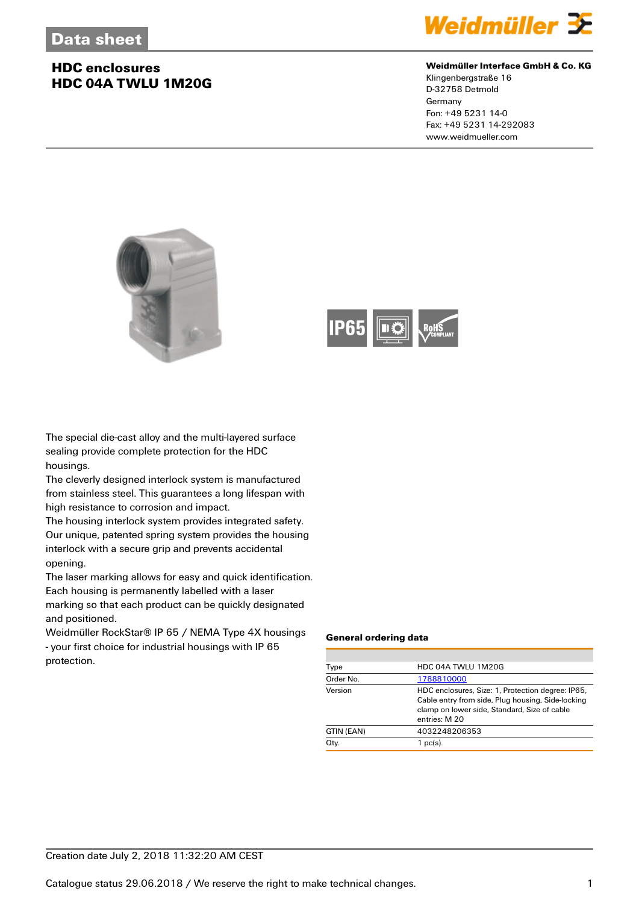## **HDC enclosures HDC 04A TWLU 1M20G**



#### **Weidmüller Interface GmbH & Co. KG**

Klingenbergstraße 16 D-32758 Detmold Germany Fon: +49 5231 14-0 Fax: +49 5231 14-292083 www.weidmueller.com





The special die-cast alloy and the multi-layered surface sealing provide complete protection for the HDC housings.

The cleverly designed interlock system is manufactured from stainless steel. This guarantees a long lifespan with high resistance to corrosion and impact.

The housing interlock system provides integrated safety. Our unique, patented spring system provides the housing interlock with a secure grip and prevents accidental opening.

The laser marking allows for easy and quick identification. Each housing is permanently labelled with a laser marking so that each product can be quickly designated

and positioned.

Weidmüller RockStar® IP 65 / NEMA Type 4X housings - your first choice for industrial housings with IP 65 protection.

#### **General ordering data**

| Type       | HDC 04A TWLU 1M20G                                                                                                                                                      |  |  |
|------------|-------------------------------------------------------------------------------------------------------------------------------------------------------------------------|--|--|
| Order No.  | 1788810000                                                                                                                                                              |  |  |
| Version    | HDC enclosures, Size: 1, Protection degree: IP65,<br>Cable entry from side, Plug housing, Side-locking<br>clamp on lower side, Standard, Size of cable<br>entries: M 20 |  |  |
| GTIN (EAN) | 4032248206353                                                                                                                                                           |  |  |
| Qty.       | 1 pc(s).                                                                                                                                                                |  |  |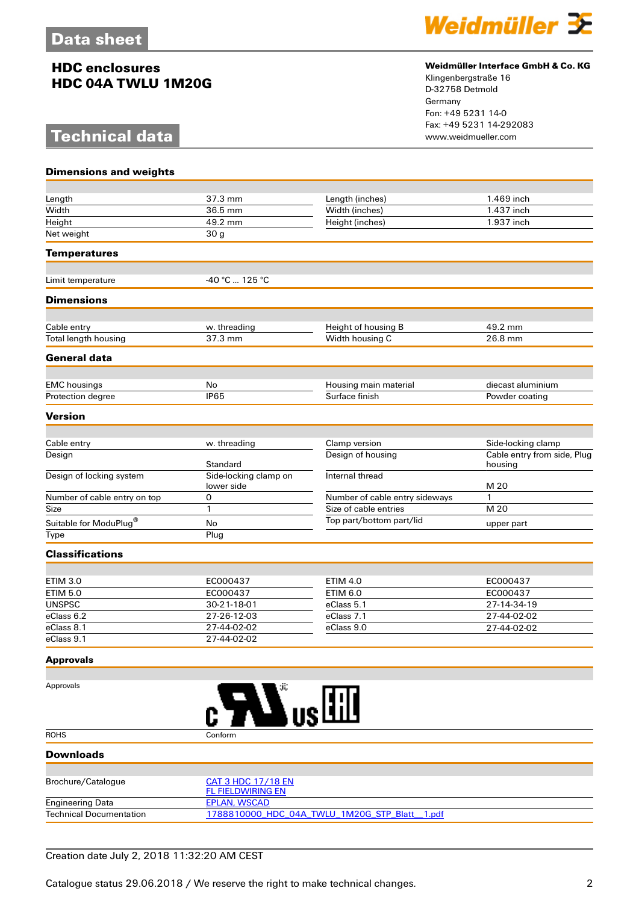## **HDC enclosures HDC 04A TWLU 1M20G**

# **Technical data**



#### **Weidmüller Interface GmbH & Co. KG**

Klingenbergstraße 16 D-32758 Detmold Germany Fon: +49 5231 14-0 Fax: +49 5231 14-292083

| <b>Dimensions and weights</b>      |                                                        |                                    |                                        |  |
|------------------------------------|--------------------------------------------------------|------------------------------------|----------------------------------------|--|
|                                    |                                                        |                                    |                                        |  |
| Length                             | 37.3 mm                                                | Length (inches)                    | 1.469 inch                             |  |
| Width                              | 36.5 mm                                                | Width (inches)                     | 1.437 inch                             |  |
| Height                             | 49.2 mm                                                | Height (inches)                    | 1.937 inch                             |  |
| Net weight                         | 30 g                                                   |                                    |                                        |  |
| <b>Temperatures</b>                |                                                        |                                    |                                        |  |
| Limit temperature                  | -40 °C  125 °C                                         |                                    |                                        |  |
|                                    |                                                        |                                    |                                        |  |
| <b>Dimensions</b>                  |                                                        |                                    |                                        |  |
| Cable entry                        | w. threading                                           | Height of housing B                | 49.2 mm                                |  |
| Total length housing               | 37.3 mm                                                | Width housing C                    | 26.8 mm                                |  |
| <b>General data</b>                |                                                        |                                    |                                        |  |
| <b>EMC</b> housings                | No                                                     | Housing main material              | diecast aluminium                      |  |
| Protection degree                  | IP65                                                   | Surface finish                     | Powder coating                         |  |
| <b>Version</b>                     |                                                        |                                    |                                        |  |
|                                    |                                                        |                                    |                                        |  |
| Cable entry                        | w. threading                                           | Clamp version                      | Side-locking clamp                     |  |
| Design                             | Standard                                               | Design of housing                  | Cable entry from side, Plug<br>housing |  |
| Design of locking system           | Side-locking clamp on<br>lower side                    | Internal thread                    | M 20                                   |  |
| Number of cable entry on top       | 0                                                      | Number of cable entry sideways     | 1                                      |  |
| Size                               | 1                                                      | Size of cable entries              | M 20                                   |  |
| Suitable for ModuPlug®             | No                                                     | Top part/bottom part/lid           | upper part                             |  |
| Type                               | Plug                                                   |                                    |                                        |  |
| <b>Classifications</b>             |                                                        |                                    |                                        |  |
|                                    |                                                        |                                    |                                        |  |
| <b>ETIM 3.0</b><br><b>ETIM 5.0</b> | EC000437<br>EC000437                                   | <b>ETIM 4.0</b><br><b>ETIM 6.0</b> | EC000437                               |  |
| <b>UNSPSC</b>                      | 30-21-18-01                                            | eClass 5.1                         | EC000437<br>27-14-34-19                |  |
| eClass 6.2                         | 27-26-12-03                                            | eClass 7.1                         | 27-44-02-02                            |  |
| eClass 8.1                         | 27-44-02-02                                            | eClass 9.0                         | 27-44-02-02                            |  |
| eClass 9.1                         | 27-44-02-02                                            |                                    |                                        |  |
| <b>Approvals</b>                   |                                                        |                                    |                                        |  |
|                                    |                                                        |                                    |                                        |  |
| Approvals                          | $\boldsymbol{\mathbf{M}}$ us $\boldsymbol{\mathbb{H}}$ |                                    |                                        |  |
| <b>ROHS</b>                        | Conform                                                |                                    |                                        |  |
| <b>Downloads</b>                   |                                                        |                                    |                                        |  |
|                                    |                                                        |                                    |                                        |  |
| Brochure/Catalogue                 | <b>CAT 3 HDC 17/18 EN</b><br><b>FL FIELDWIRING EN</b>  |                                    |                                        |  |
| <b>Engineering Data</b>            | <b>EPLAN, WSCAD</b>                                    |                                    |                                        |  |
| <b>Technical Documentation</b>     | 1788810000_HDC_04A_TWLU_1M20G_STP_Blatt__1.pdf         |                                    |                                        |  |

### Creation date July 2, 2018 11:32:20 AM CEST

Catalogue status 29.06.2018 / We reserve the right to make technical changes. 2